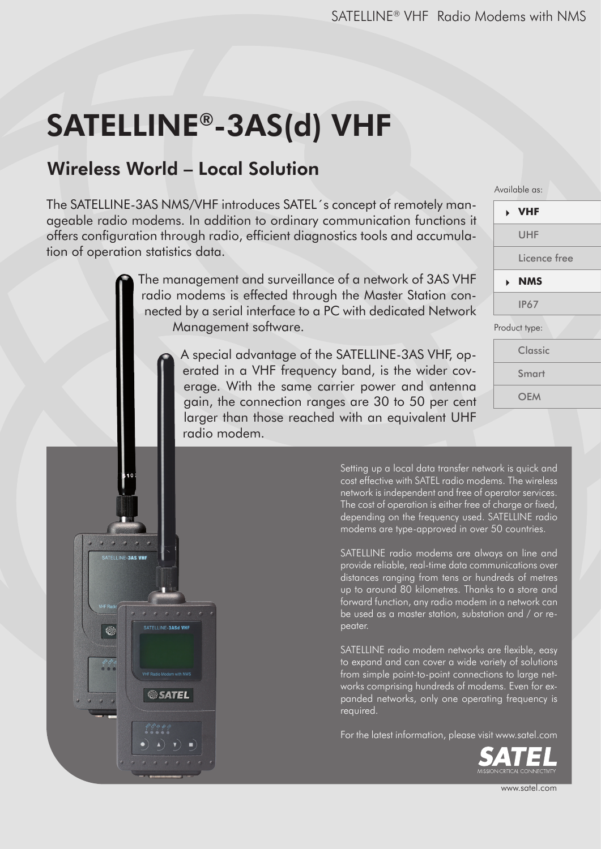# SATELLINE®-3AS(d) VHF

# Wireless World – Local Solution

SATELLINE-3AS VH

念

SATELLINE-3ASd VHF

**SATEL** 

The SATELLINE-3AS NMS/VHF introduces SATEL´s concept of remotely manageable radio modems. In addition to ordinary communication functions it offers configuration through radio, efficient diagnostics tools and accumulation of operation statistics data.

> The management and surveillance of a network of 3AS VHF radio modems is effected through the Master Station connected by a serial interface to a PC with dedicated Network Management software.

> > A special advantage of the SATELLINE-3AS VHF, operated in a VHF frequency band, is the wider coverage. With the same carrier power and antenna gain, the connection ranges are 30 to 50 per cent larger than those reached with an equivalent UHF radio modem.

Available as:

| <b>&gt; VHF</b> |              |
|-----------------|--------------|
| UHF             |              |
|                 | Licence free |
| <b>NMS</b>      |              |
| <b>IP67</b>     |              |
| Product type:   |              |
| Classic         |              |
| Smart           |              |
|                 |              |

**OFM** 

Setting up a local data transfer network is quick and cost effective with SATEL radio modems. The wireless network is independent and free of operator services. The cost of operation is either free of charge or fixed, depending on the frequency used. SATELLINE radio modems are type-approved in over 50 countries.

SATELLINE radio modems are always on line and provide reliable, real-time data communications over distances ranging from tens or hundreds of metres up to around 80 kilometres. Thanks to a store and forward function, any radio modem in a network can be used as a master station, substation and / or repeater.

SATELLINE radio modem networks are flexible, easy to expand and can cover a wide variety of solutions from simple point-to-point connections to large networks comprising hundreds of modems. Even for expanded networks, only one operating frequency is required.

For the latest information, please visit www.satel.com



www.satel.com